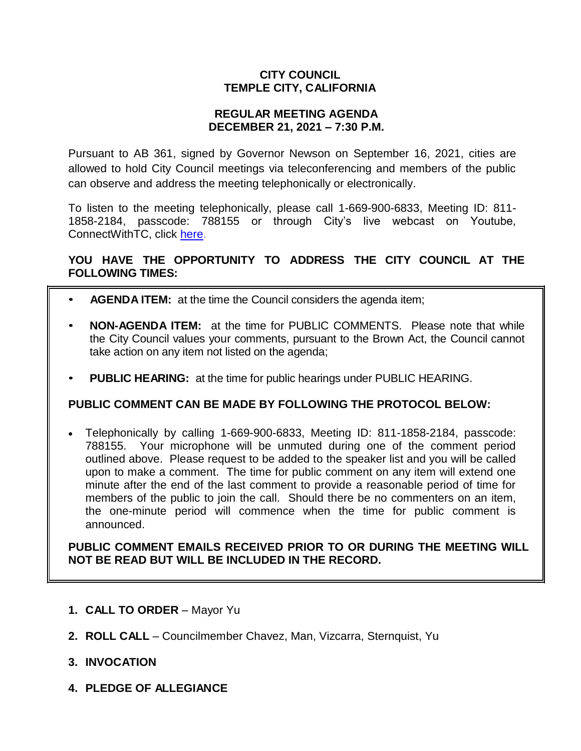## **CITY COUNCIL TEMPLE CITY, CALIFORNIA**

### **REGULAR MEETING AGENDA DECEMBER 21, 2021 – 7:30 P.M.**

Pursuant to AB 361, signed by Governor Newson on September 16, 2021, cities are allowed to hold City Council meetings via teleconferencing and members of the public can observe and address the meeting telephonically or electronically.

To listen to the meeting telephonically, please call 1-669-900-6833, Meeting ID: 811- 1858-2184, passcode: 788155 or through City's live webcast on Youtube, ConnectWithTC, click [here.](https://www.ci.temple-city.ca.us/516/Meeting-Webcast)

## **YOU HAVE THE OPPORTUNITY TO ADDRESS THE CITY COUNCIL AT THE FOLLOWING TIMES:**

- **AGENDA ITEM:** at the time the Council considers the agenda item;
- **NON-AGENDA ITEM:** at the time for PUBLIC COMMENTS. Please note that while the City Council values your comments, pursuant to the Brown Act, the Council cannot take action on any item not listed on the agenda;
- **PUBLIC HEARING:** at the time for public hearings under PUBLIC HEARING.

### **PUBLIC COMMENT CAN BE MADE BY FOLLOWING THE PROTOCOL BELOW:**

 Telephonically by calling 1-669-900-6833, Meeting ID: 811-1858-2184, passcode: 788155. Your microphone will be unmuted during one of the comment period outlined above. Please request to be added to the speaker list and you will be called upon to make a comment. The time for public comment on any item will extend one minute after the end of the last comment to provide a reasonable period of time for members of the public to join the call. Should there be no commenters on an item, the one-minute period will commence when the time for public comment is announced.

**PUBLIC COMMENT EMAILS RECEIVED PRIOR TO OR DURING THE MEETING WILL NOT BE READ BUT WILL BE INCLUDED IN THE RECORD.**

- **1. CALL TO ORDER**  Mayor Yu
- **2. ROLL CALL**  Councilmember Chavez, Man, Vizcarra, Sternquist, Yu
- **3. INVOCATION**
- **4. PLEDGE OF ALLEGIANCE**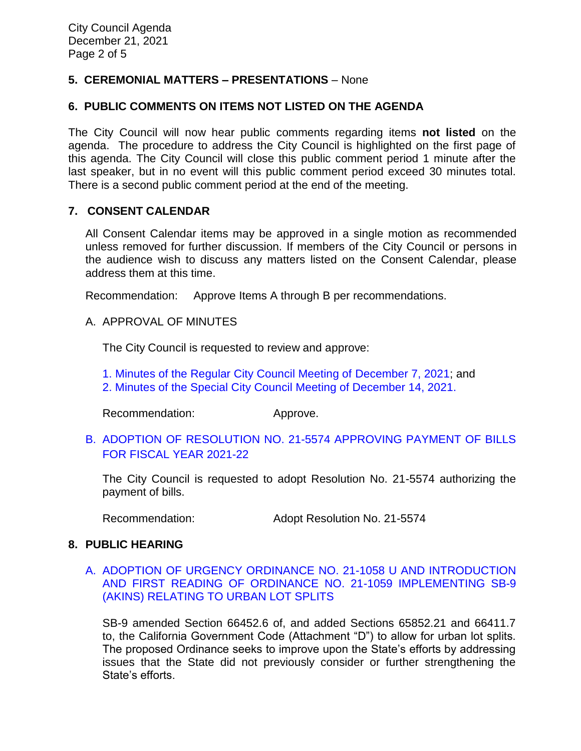## **5. CEREMONIAL MATTERS – PRESENTATIONS** – None

### **6. PUBLIC COMMENTS ON ITEMS NOT LISTED ON THE AGENDA**

The City Council will now hear public comments regarding items **not listed** on the agenda. The procedure to address the City Council is highlighted on the first page of this agenda. The City Council will close this public comment period 1 minute after the last speaker, but in no event will this public comment period exceed 30 minutes total. There is a second public comment period at the end of the meeting.

### **7. CONSENT CALENDAR**

All Consent Calendar items may be approved in a single motion as recommended unless removed for further discussion. If members of the City Council or persons in the audience wish to discuss any matters listed on the Consent Calendar, please address them at this time.

Recommendation: Approve Items A through B per recommendations.

### A. APPROVAL OF MINUTES

The City Council is requested to review and approve:

- [1. Minutes of the Regular City Council Meeting of December 7,](https://www.ci.temple-city.ca.us/DocumentCenter/View/17120/7A1_CCM---2021-12-07) 2021; and
- [2. Minutes of the Special City Council Meeting of December 14, 2021.](https://www.ci.temple-city.ca.us/DocumentCenter/View/17121/7A2_CCM---2021-12-14-Special)

Recommendation: Approve.

B. [ADOPTION OF RESOLUTION NO. 21-5574](https://www.ci.temple-city.ca.us/DocumentCenter/View/17122/7B_CC-Warrant_Reso-No-21-5574---FY-2021-2022) APPROVING PAYMENT OF BILLS [FOR FISCAL YEAR 2021-22](https://www.ci.temple-city.ca.us/DocumentCenter/View/17122/7B_CC-Warrant_Reso-No-21-5574---FY-2021-2022)

The City Council is requested to adopt Resolution No. 21-5574 authorizing the payment of bills.

Recommendation: Adopt Resolution No. 21-5574

### **8. PUBLIC HEARING**

### A. [ADOPTION OF URGENCY ORDINANCE NO. 21-1058 U AND](https://www.ci.temple-city.ca.us/DocumentCenter/View/17123/8A_SB9_Staff-Report-w-attachments) INTRODUCTION [AND FIRST READING OF ORDINANCE NO. 21-1059](https://www.ci.temple-city.ca.us/DocumentCenter/View/17123/8A_SB9_Staff-Report-w-attachments) IMPLEMENTING SB-9 [\(AKINS\) RELATING TO URBAN LOT SPLITS](https://www.ci.temple-city.ca.us/DocumentCenter/View/17123/8A_SB9_Staff-Report-w-attachments)

SB-9 amended Section 66452.6 of, and added Sections 65852.21 and 66411.7 to, the California Government Code (Attachment "D") to allow for urban lot splits. The proposed Ordinance seeks to improve upon the State's efforts by addressing issues that the State did not previously consider or further strengthening the State's efforts.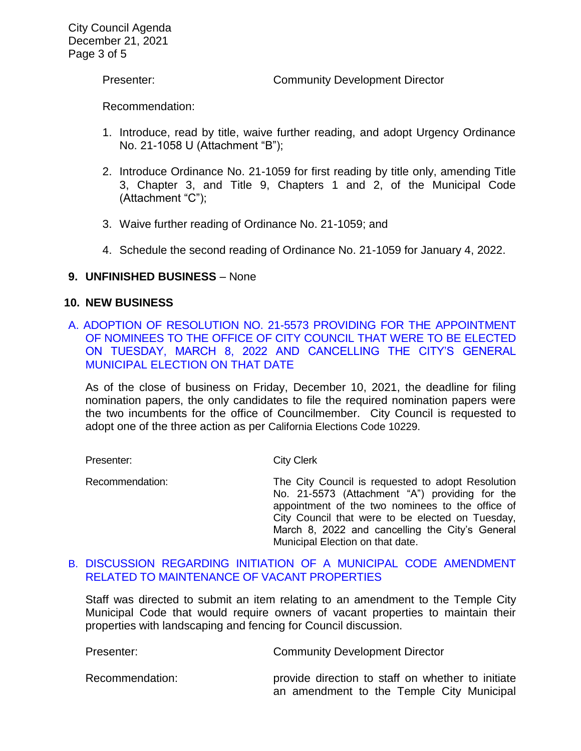Presenter: Community Development Director

Recommendation:

- 1. Introduce, read by title, waive further reading, and adopt Urgency Ordinance No. 21-1058 U (Attachment "B");
- 2. Introduce Ordinance No. 21-1059 for first reading by title only, amending Title 3, Chapter 3, and Title 9, Chapters 1 and 2, of the Municipal Code (Attachment "C");
- 3. Waive further reading of Ordinance No. 21-1059; and
- 4. Schedule the second reading of Ordinance No. 21-1059 for January 4, 2022.

## **9. UNFINISHED BUSINESS** – None

### **10. NEW BUSINESS**

A. [ADOPTION OF RESOLUTION NO. 21-5573 PROVIDING FOR THE APPOINTMENT](https://www.ci.temple-city.ca.us/DocumentCenter/View/17124/10A_2022-Election-appointment-and-cancellation_Staff-Report-w-attachment)  [OF NOMINEES TO THE OFFICE OF CITY COUNCIL THAT WERE TO BE ELECTED](https://www.ci.temple-city.ca.us/DocumentCenter/View/17124/10A_2022-Election-appointment-and-cancellation_Staff-Report-w-attachment)  [ON TUESDAY, MARCH 8, 2022 AND CANCELLING THE CITY'S GENERAL](https://www.ci.temple-city.ca.us/DocumentCenter/View/17124/10A_2022-Election-appointment-and-cancellation_Staff-Report-w-attachment)  [MUNICIPAL ELECTION ON THAT DATE](https://www.ci.temple-city.ca.us/DocumentCenter/View/17124/10A_2022-Election-appointment-and-cancellation_Staff-Report-w-attachment)

As of the close of business on Friday, December 10, 2021, the deadline for filing nomination papers, the only candidates to file the required nomination papers were the two incumbents for the office of Councilmember. City Council is requested to adopt one of the three action as per California Elections Code 10229.

Presenter: City Clerk

Recommendation: The City Council is requested to adopt Resolution No. 21-5573 (Attachment "A") providing for the appointment of the two nominees to the office of City Council that were to be elected on Tuesday, March 8, 2022 and cancelling the City's General Municipal Election on that date.

### B. [DISCUSSION REGARDING INITIATION OF A MUNICIPAL CODE AMENDMENT](https://www.ci.temple-city.ca.us/DocumentCenter/View/17125/10B_Vacant-Property-Ordinance_Staff-Report_Draft_2_2021-12-08)  [RELATED TO MAINTENANCE OF VACANT PROPERTIES](https://www.ci.temple-city.ca.us/DocumentCenter/View/17125/10B_Vacant-Property-Ordinance_Staff-Report_Draft_2_2021-12-08)

Staff was directed to submit an item relating to an amendment to the Temple City Municipal Code that would require owners of vacant properties to maintain their properties with landscaping and fencing for Council discussion.

| Presenter:      | <b>Community Development Director</b>                                                          |
|-----------------|------------------------------------------------------------------------------------------------|
| Recommendation: | provide direction to staff on whether to initiate<br>an amendment to the Temple City Municipal |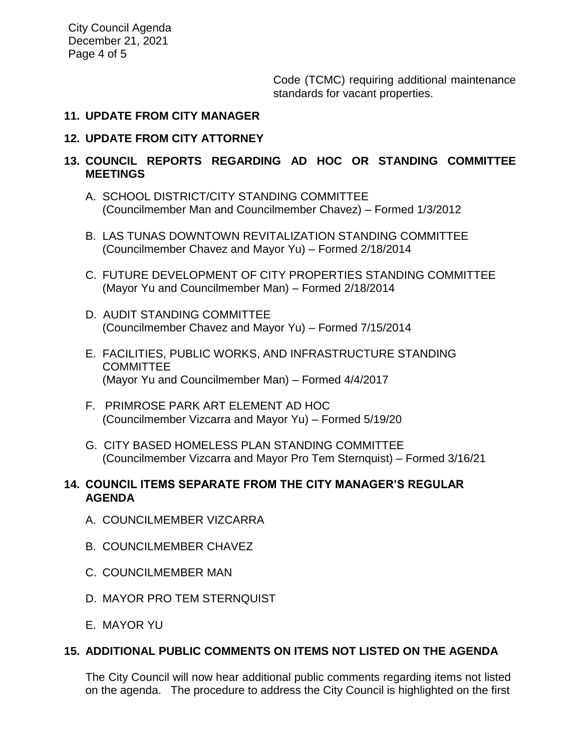City Council Agenda December 21, 2021 Page 4 of 5

> Code (TCMC) requiring additional maintenance standards for vacant properties.

#### **11. UPDATE FROM CITY MANAGER**

### **12. UPDATE FROM CITY ATTORNEY**

## **13. COUNCIL REPORTS REGARDING AD HOC OR STANDING COMMITTEE MEETINGS**

- A. SCHOOL DISTRICT/CITY STANDING COMMITTEE (Councilmember Man and Councilmember Chavez) – Formed 1/3/2012
- B. LAS TUNAS DOWNTOWN REVITALIZATION STANDING COMMITTEE (Councilmember Chavez and Mayor Yu) – Formed 2/18/2014
- C. FUTURE DEVELOPMENT OF CITY PROPERTIES STANDING COMMITTEE (Mayor Yu and Councilmember Man) – Formed 2/18/2014
- D. AUDIT STANDING COMMITTEE (Councilmember Chavez and Mayor Yu) – Formed 7/15/2014
- E. FACILITIES, PUBLIC WORKS, AND INFRASTRUCTURE STANDING **COMMITTEE** (Mayor Yu and Councilmember Man) – Formed 4/4/2017
- F. PRIMROSE PARK ART ELEMENT AD HOC (Councilmember Vizcarra and Mayor Yu) – Formed 5/19/20
- G. CITY BASED HOMELESS PLAN STANDING COMMITTEE (Councilmember Vizcarra and Mayor Pro Tem Sternquist) – Formed 3/16/21

## **14. COUNCIL ITEMS SEPARATE FROM THE CITY MANAGER'S REGULAR AGENDA**

- A. COUNCILMEMBER VIZCARRA
- B. COUNCILMEMBER CHAVEZ
- C. COUNCILMEMBER MAN
- D. MAYOR PRO TEM STERNQUIST
- E. MAYOR YU

# **15. ADDITIONAL PUBLIC COMMENTS ON ITEMS NOT LISTED ON THE AGENDA**

The City Council will now hear additional public comments regarding items not listed on the agenda. The procedure to address the City Council is highlighted on the first